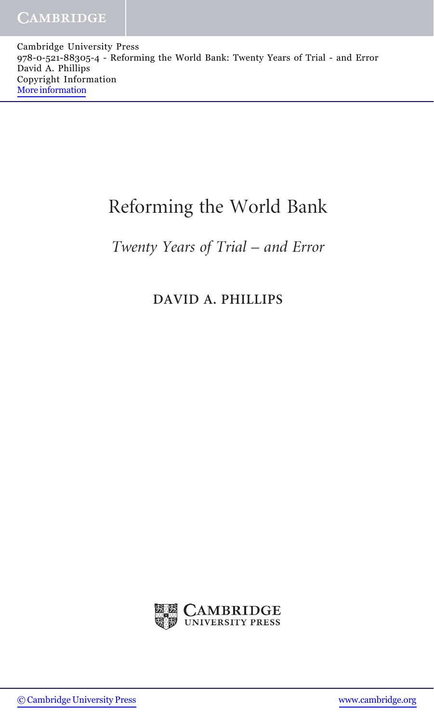Cambridge University Press 978-0-521-88305-4 - Reforming the World Bank: Twenty Years of Trial - and Error David A. Phillips Copyright Information [More information](http://www.cambridge.org/9780521883054)

## Reforming the World Bank

## Twenty Years of Trial – and Error

## DAVID A. PHILLIPS